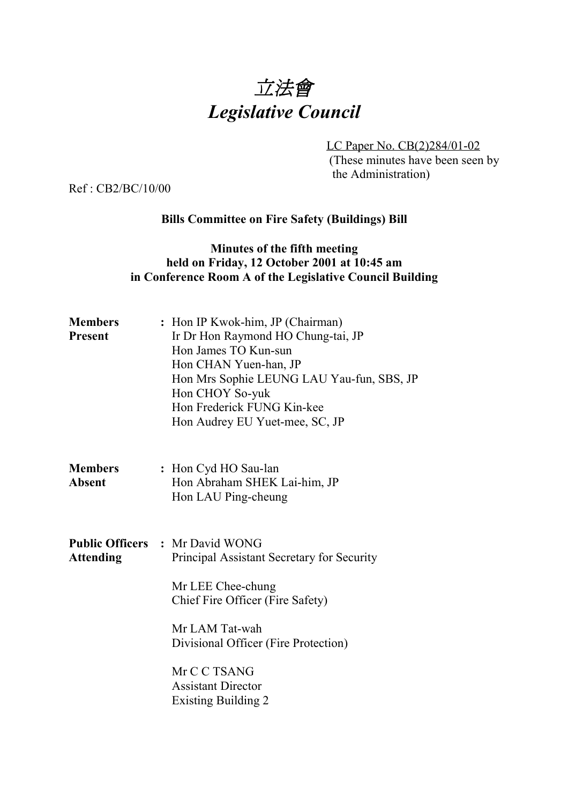

LC Paper No. CB(2)284/01-02 (These minutes have been seen by the Administration)

Ref : CB2/BC/10/00

## **Bills Committee on Fire Safety (Buildings) Bill**

### **Minutes of the fifth meeting held on Friday, 12 October 2001 at 10:45 am in Conference Room A of the Legislative Council Building**

| <b>Members</b><br><b>Present</b> | : Hon IP Kwok-him, JP (Chairman)<br>Ir Dr Hon Raymond HO Chung-tai, JP<br>Hon James TO Kun-sun<br>Hon CHAN Yuen-han, JP<br>Hon Mrs Sophie LEUNG LAU Yau-fun, SBS, JP<br>Hon CHOY So-yuk<br>Hon Frederick FUNG Kin-kee<br>Hon Audrey EU Yuet-mee, SC, JP                            |
|----------------------------------|------------------------------------------------------------------------------------------------------------------------------------------------------------------------------------------------------------------------------------------------------------------------------------|
| <b>Members</b><br><b>Absent</b>  | : Hon Cyd HO Sau-lan<br>Hon Abraham SHEK Lai-him, JP<br>Hon LAU Ping-cheung                                                                                                                                                                                                        |
| <b>Attending</b>                 | <b>Public Officers : Mr David WONG</b><br>Principal Assistant Secretary for Security<br>Mr LEE Chee-chung<br>Chief Fire Officer (Fire Safety)<br>Mr LAM Tat-wah<br>Divisional Officer (Fire Protection)<br>Mr C C TSANG<br><b>Assistant Director</b><br><b>Existing Building 2</b> |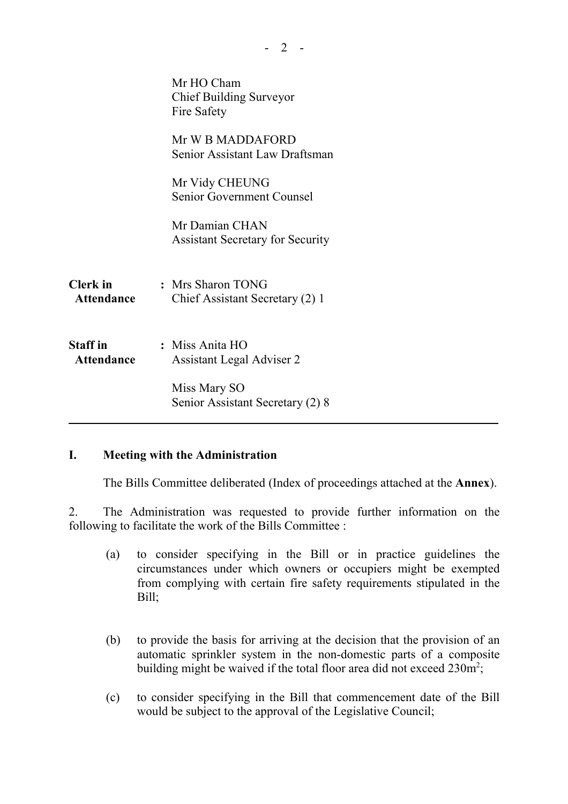|                                      | Mr HO Cham<br><b>Chief Building Surveyor</b><br>Fire Safety |  |
|--------------------------------------|-------------------------------------------------------------|--|
|                                      | Mr W B MADDAFORD<br>Senior Assistant Law Draftsman          |  |
|                                      | Mr Vidy CHEUNG<br><b>Senior Government Counsel</b>          |  |
|                                      | Mr Damian CHAN<br><b>Assistant Secretary for Security</b>   |  |
| <b>Clerk</b> in<br>Attendance        | : Mrs Sharon TONG<br>Chief Assistant Secretary (2) 1        |  |
| <b>Staff</b> in<br><b>Attendance</b> | : Miss Anita HO<br><b>Assistant Legal Adviser 2</b>         |  |
|                                      | Miss Mary SO<br>Senior Assistant Secretary (2) 8            |  |

#### **I. Meeting with the Administration**

The Bills Committee deliberated (Index of proceedings attached at the **Annex**).

2. The Administration was requested to provide further information on the following to facilitate the work of the Bills Committee :

- (a) to consider specifying in the Bill or in practice guidelines the circumstances under which owners or occupiers might be exempted from complying with certain fire safety requirements stipulated in the Bill;
- (b) to provide the basis for arriving at the decision that the provision of an automatic sprinkler system in the non-domestic parts of a composite building might be waived if the total floor area did not exceed  $230m^2$ ;
- (c) to consider specifying in the Bill that commencement date of the Bill would be subject to the approval of the Legislative Council;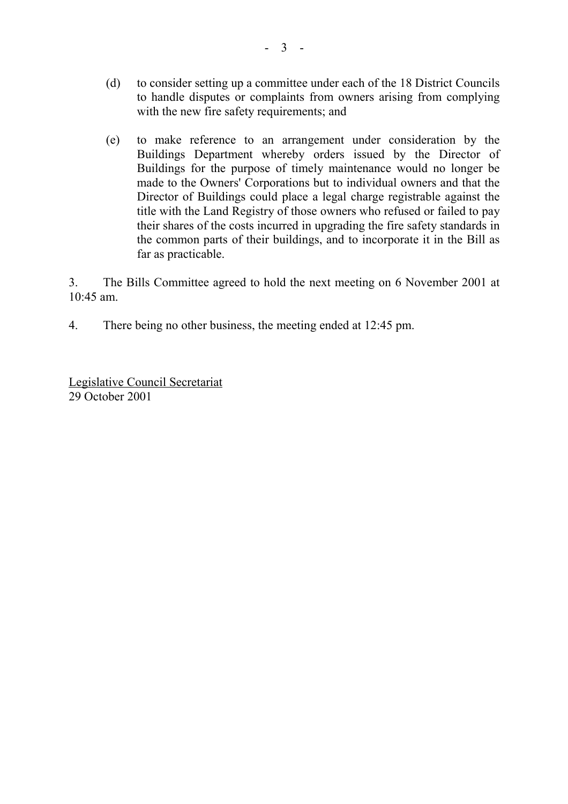- (d) to consider setting up a committee under each of the 18 District Councils to handle disputes or complaints from owners arising from complying with the new fire safety requirements; and
- (e) to make reference to an arrangement under consideration by the Buildings Department whereby orders issued by the Director of Buildings for the purpose of timely maintenance would no longer be made to the Owners' Corporations but to individual owners and that the Director of Buildings could place a legal charge registrable against the title with the Land Registry of those owners who refused or failed to pay their shares of the costs incurred in upgrading the fire safety standards in the common parts of their buildings, and to incorporate it in the Bill as far as practicable.

3. The Bills Committee agreed to hold the next meeting on 6 November 2001 at 10:45 am.

4. There being no other business, the meeting ended at 12:45 pm.

Legislative Council Secretariat 29 October 2001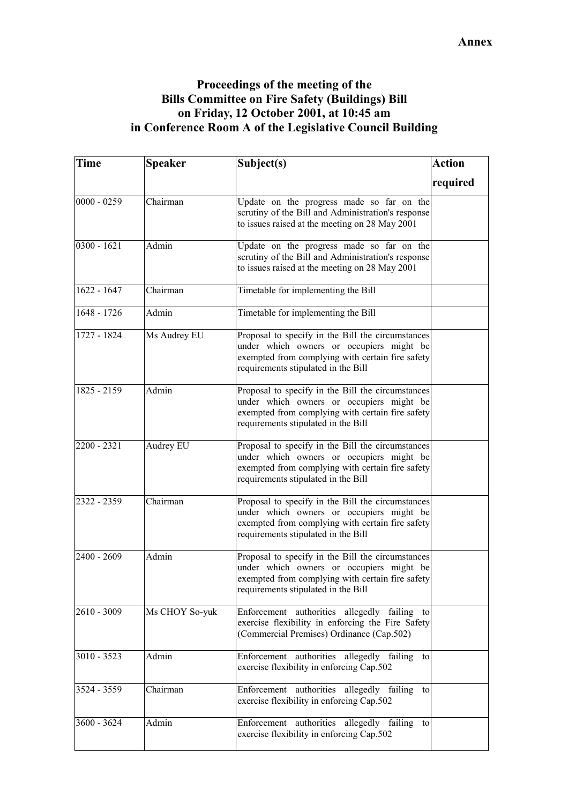## **Proceedings of the meeting of the Bills Committee on Fire Safety (Buildings) Bill on Friday, 12 October 2001, at 10:45 am in Conference Room A of the Legislative Council Building**

| Time          | <b>Speaker</b> | Subject(s)                                                                                                                                                                               | <b>Action</b> |
|---------------|----------------|------------------------------------------------------------------------------------------------------------------------------------------------------------------------------------------|---------------|
|               |                |                                                                                                                                                                                          | required      |
| $0000 - 0259$ | Chairman       | Update on the progress made so far on the<br>scrutiny of the Bill and Administration's response<br>to issues raised at the meeting on 28 May 2001                                        |               |
| $0300 - 1621$ | Admin          | Update on the progress made so far on the<br>scrutiny of the Bill and Administration's response<br>to issues raised at the meeting on 28 May 2001                                        |               |
| $1622 - 1647$ | Chairman       | Timetable for implementing the Bill                                                                                                                                                      |               |
| 1648 - 1726   | Admin          | Timetable for implementing the Bill                                                                                                                                                      |               |
| 1727 - 1824   | Ms Audrey EU   | Proposal to specify in the Bill the circumstances<br>under which owners or occupiers might be<br>exempted from complying with certain fire safety<br>requirements stipulated in the Bill |               |
| $1825 - 2159$ | Admin          | Proposal to specify in the Bill the circumstances<br>under which owners or occupiers might be<br>exempted from complying with certain fire safety<br>requirements stipulated in the Bill |               |
| 2200 - 2321   | Audrey EU      | Proposal to specify in the Bill the circumstances<br>under which owners or occupiers might be<br>exempted from complying with certain fire safety<br>requirements stipulated in the Bill |               |
| 2322 - 2359   | Chairman       | Proposal to specify in the Bill the circumstances<br>under which owners or occupiers might be<br>exempted from complying with certain fire safety<br>requirements stipulated in the Bill |               |
| 2400 - 2609   | Admin          | Proposal to specify in the Bill the circumstances<br>under which owners or occupiers might be<br>exempted from complying with certain fire safety<br>requirements stipulated in the Bill |               |
| $2610 - 3009$ | Ms CHOY So-yuk | Enforcement authorities allegedly failing<br>to<br>exercise flexibility in enforcing the Fire Safety<br>(Commercial Premises) Ordinance (Cap.502)                                        |               |
| $3010 - 3523$ | Admin          | Enforcement authorities allegedly failing to<br>exercise flexibility in enforcing Cap.502                                                                                                |               |
| 3524 - 3559   | Chairman       | Enforcement authorities allegedly failing<br>to<br>exercise flexibility in enforcing Cap.502                                                                                             |               |
| 3600 - 3624   | Admin          | Enforcement authorities allegedly failing<br>to<br>exercise flexibility in enforcing Cap.502                                                                                             |               |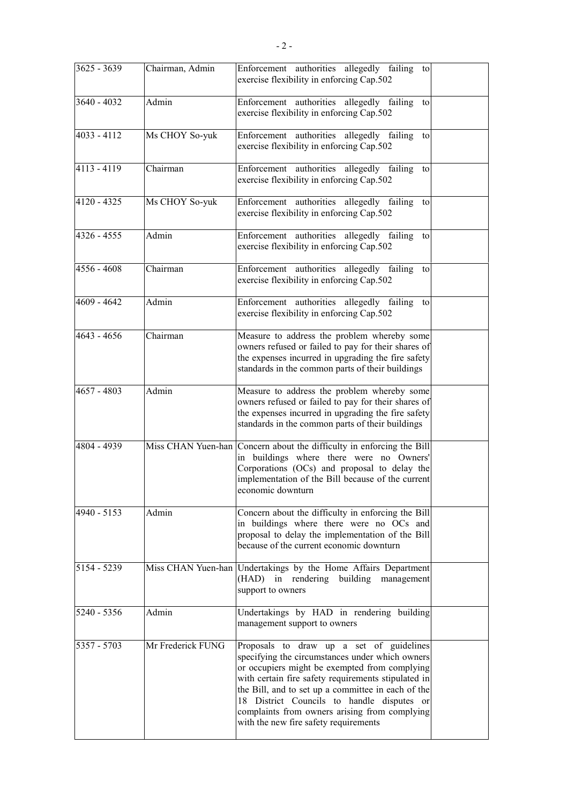| 3625 - 3639   | Chairman, Admin   | Enforcement authorities allegedly failing to<br>exercise flexibility in enforcing Cap.502                                                                                                                                                                                                                                                                                                         |  |
|---------------|-------------------|---------------------------------------------------------------------------------------------------------------------------------------------------------------------------------------------------------------------------------------------------------------------------------------------------------------------------------------------------------------------------------------------------|--|
| 3640 - 4032   | Admin             | Enforcement authorities allegedly failing to<br>exercise flexibility in enforcing Cap.502                                                                                                                                                                                                                                                                                                         |  |
| 4033 - 4112   | Ms CHOY So-yuk    | Enforcement authorities allegedly failing<br>to<br>exercise flexibility in enforcing Cap.502                                                                                                                                                                                                                                                                                                      |  |
| 4113 - 4119   | Chairman          | Enforcement authorities allegedly failing<br>to<br>exercise flexibility in enforcing Cap.502                                                                                                                                                                                                                                                                                                      |  |
| 4120 - 4325   | Ms CHOY So-yuk    | Enforcement authorities allegedly failing<br>to<br>exercise flexibility in enforcing Cap.502                                                                                                                                                                                                                                                                                                      |  |
| $4326 - 4555$ | Admin             | Enforcement authorities allegedly failing<br>to<br>exercise flexibility in enforcing Cap.502                                                                                                                                                                                                                                                                                                      |  |
| $4556 - 4608$ | Chairman          | Enforcement authorities allegedly failing<br>to<br>exercise flexibility in enforcing Cap.502                                                                                                                                                                                                                                                                                                      |  |
| 4609 - 4642   | Admin             | Enforcement authorities allegedly failing to<br>exercise flexibility in enforcing Cap.502                                                                                                                                                                                                                                                                                                         |  |
| $4643 - 4656$ | Chairman          | Measure to address the problem whereby some<br>owners refused or failed to pay for their shares of<br>the expenses incurred in upgrading the fire safety<br>standards in the common parts of their buildings                                                                                                                                                                                      |  |
| 4657 - 4803   | Admin             | Measure to address the problem whereby some<br>owners refused or failed to pay for their shares of<br>the expenses incurred in upgrading the fire safety<br>standards in the common parts of their buildings                                                                                                                                                                                      |  |
| 4804 - 4939   |                   | Miss CHAN Yuen-han Concern about the difficulty in enforcing the Bill<br>in buildings where there were no Owners'<br>Corporations (OCs) and proposal to delay the<br>implementation of the Bill because of the current<br>economic downturn                                                                                                                                                       |  |
| 4940 - 5153   | Admin             | Concern about the difficulty in enforcing the Bill<br>in buildings where there were no OCs and<br>proposal to delay the implementation of the Bill<br>because of the current economic downturn                                                                                                                                                                                                    |  |
| 5154 - 5239   |                   | Miss CHAN Yuen-han Undertakings by the Home Affairs Department<br>(HAD) in rendering building management<br>support to owners                                                                                                                                                                                                                                                                     |  |
| 5240 - 5356   | Admin             | Undertakings by HAD in rendering building<br>management support to owners                                                                                                                                                                                                                                                                                                                         |  |
| $5357 - 5703$ | Mr Frederick FUNG | Proposals to draw up a set of guidelines<br>specifying the circumstances under which owners<br>or occupiers might be exempted from complying<br>with certain fire safety requirements stipulated in<br>the Bill, and to set up a committee in each of the<br>18 District Councils to handle disputes or<br>complaints from owners arising from complying<br>with the new fire safety requirements |  |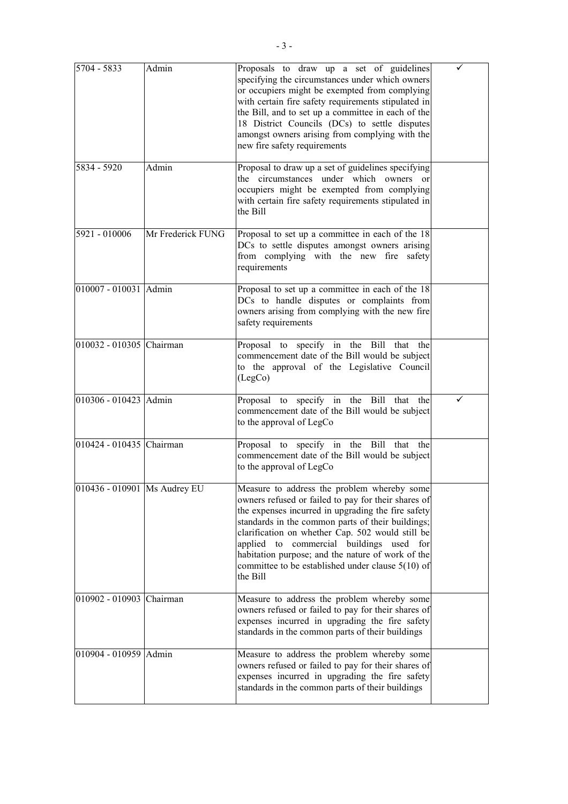| 5704 - 5833                  | Admin             | Proposals to draw up a set of guidelines<br>specifying the circumstances under which owners<br>or occupiers might be exempted from complying<br>with certain fire safety requirements stipulated in<br>the Bill, and to set up a committee in each of the<br>18 District Councils (DCs) to settle disputes<br>amongst owners arising from complying with the<br>new fire safety requirements                                        | ✓ |
|------------------------------|-------------------|-------------------------------------------------------------------------------------------------------------------------------------------------------------------------------------------------------------------------------------------------------------------------------------------------------------------------------------------------------------------------------------------------------------------------------------|---|
| 5834 - 5920                  | Admin             | Proposal to draw up a set of guidelines specifying<br>the circumstances under which owners or<br>occupiers might be exempted from complying<br>with certain fire safety requirements stipulated in<br>the Bill                                                                                                                                                                                                                      |   |
| 5921 - 010006                | Mr Frederick FUNG | Proposal to set up a committee in each of the 18<br>DCs to settle disputes amongst owners arising<br>from complying with the new fire<br>safety<br>requirements                                                                                                                                                                                                                                                                     |   |
| 010007 - 010031 Admin        |                   | Proposal to set up a committee in each of the 18<br>DCs to handle disputes or complaints from<br>owners arising from complying with the new fire<br>safety requirements                                                                                                                                                                                                                                                             |   |
| 010032 - 010305 Chairman     |                   | Proposal to specify in the Bill that the<br>commencement date of the Bill would be subject<br>to the approval of the Legislative Council<br>(LegCo)                                                                                                                                                                                                                                                                                 |   |
| 010306 - 010423 Admin        |                   | Proposal to specify in the Bill that the<br>commencement date of the Bill would be subject<br>to the approval of LegCo                                                                                                                                                                                                                                                                                                              |   |
| 010424 - 010435 Chairman     |                   | Proposal to specify in the Bill that the<br>commencement date of the Bill would be subject<br>to the approval of LegCo                                                                                                                                                                                                                                                                                                              |   |
| 010436 - 010901 Ms Audrey EU |                   | Measure to address the problem whereby some<br>owners refused or failed to pay for their shares of<br>the expenses incurred in upgrading the fire safety<br>standards in the common parts of their buildings;<br>clarification on whether Cap. 502 would still be<br>applied to commercial buildings used for<br>habitation purpose; and the nature of work of the<br>committee to be established under clause 5(10) of<br>the Bill |   |
| 010902 - 010903 Chairman     |                   | Measure to address the problem whereby some<br>owners refused or failed to pay for their shares of<br>expenses incurred in upgrading the fire safety<br>standards in the common parts of their buildings                                                                                                                                                                                                                            |   |
| 010904 - 010959 Admin        |                   | Measure to address the problem whereby some<br>owners refused or failed to pay for their shares of<br>expenses incurred in upgrading the fire safety<br>standards in the common parts of their buildings                                                                                                                                                                                                                            |   |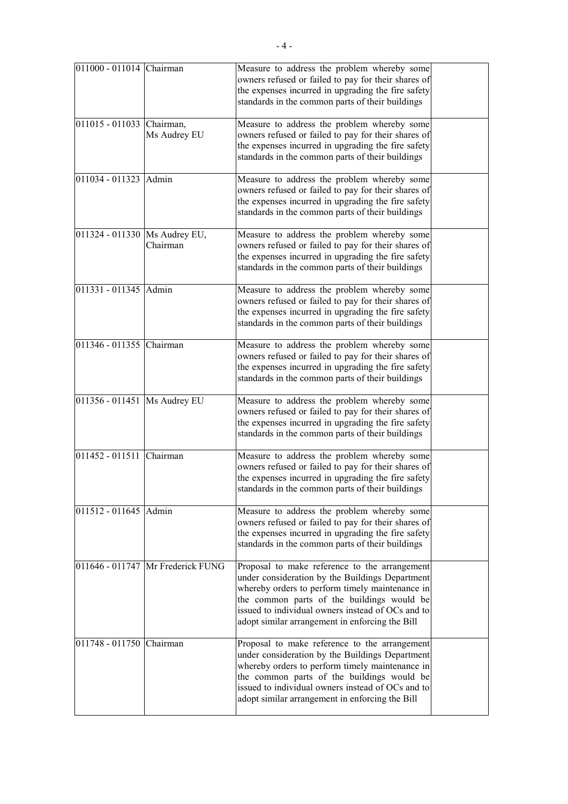| 011000 - 011014 Chairman       |                                   | Measure to address the problem whereby some<br>owners refused or failed to pay for their shares of<br>the expenses incurred in upgrading the fire safety<br>standards in the common parts of their buildings                                                                                              |  |
|--------------------------------|-----------------------------------|-----------------------------------------------------------------------------------------------------------------------------------------------------------------------------------------------------------------------------------------------------------------------------------------------------------|--|
| 011015 - 011033 Chairman,      | Ms Audrey EU                      | Measure to address the problem whereby some<br>owners refused or failed to pay for their shares of<br>the expenses incurred in upgrading the fire safety<br>standards in the common parts of their buildings                                                                                              |  |
| 011034 - 011323 Admin          |                                   | Measure to address the problem whereby some<br>owners refused or failed to pay for their shares of<br>the expenses incurred in upgrading the fire safety<br>standards in the common parts of their buildings                                                                                              |  |
| 011324 - 011330 Ms Audrey EU,  | Chairman                          | Measure to address the problem whereby some<br>owners refused or failed to pay for their shares of<br>the expenses incurred in upgrading the fire safety<br>standards in the common parts of their buildings                                                                                              |  |
| 011331 - 011345 Admin          |                                   | Measure to address the problem whereby some<br>owners refused or failed to pay for their shares of<br>the expenses incurred in upgrading the fire safety<br>standards in the common parts of their buildings                                                                                              |  |
| 011346 - 011355 Chairman       |                                   | Measure to address the problem whereby some<br>owners refused or failed to pay for their shares of<br>the expenses incurred in upgrading the fire safety<br>standards in the common parts of their buildings                                                                                              |  |
| 011356 - 011451   Ms Audrey EU |                                   | Measure to address the problem whereby some<br>owners refused or failed to pay for their shares of<br>the expenses incurred in upgrading the fire safety<br>standards in the common parts of their buildings                                                                                              |  |
| 011452 - 011511                | Chairman                          | Measure to address the problem whereby some<br>owners refused or failed to pay for their shares of<br>the expenses incurred in upgrading the fire safety<br>standards in the common parts of their buildings                                                                                              |  |
| 011512 - 011645 Admin          |                                   | Measure to address the problem whereby some<br>owners refused or failed to pay for their shares of<br>the expenses incurred in upgrading the fire safety<br>standards in the common parts of their buildings                                                                                              |  |
|                                | 011646 - 011747 Mr Frederick FUNG | Proposal to make reference to the arrangement<br>under consideration by the Buildings Department<br>whereby orders to perform timely maintenance in<br>the common parts of the buildings would be<br>issued to individual owners instead of OCs and to<br>adopt similar arrangement in enforcing the Bill |  |
| 011748 - 011750 Chairman       |                                   | Proposal to make reference to the arrangement<br>under consideration by the Buildings Department<br>whereby orders to perform timely maintenance in<br>the common parts of the buildings would be<br>issued to individual owners instead of OCs and to<br>adopt similar arrangement in enforcing the Bill |  |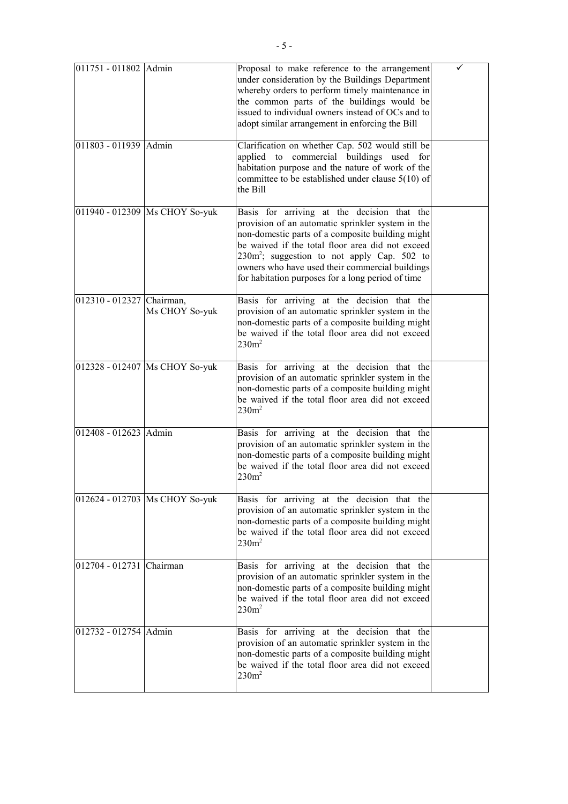| 011751 - 011802 Admin     |                                | Proposal to make reference to the arrangement<br>under consideration by the Buildings Department<br>whereby orders to perform timely maintenance in<br>the common parts of the buildings would be<br>issued to individual owners instead of OCs and to<br>adopt similar arrangement in enforcing the Bill                                                          |  |
|---------------------------|--------------------------------|--------------------------------------------------------------------------------------------------------------------------------------------------------------------------------------------------------------------------------------------------------------------------------------------------------------------------------------------------------------------|--|
| 011803 - 011939 Admin     |                                | Clarification on whether Cap. 502 would still be<br>applied to commercial buildings used for<br>habitation purpose and the nature of work of the<br>committee to be established under clause $5(10)$ of<br>the Bill                                                                                                                                                |  |
|                           | 011940 - 012309 Ms CHOY So-yuk | Basis for arriving at the decision that the<br>provision of an automatic sprinkler system in the<br>non-domestic parts of a composite building might<br>be waived if the total floor area did not exceed<br>$230m^2$ ; suggestion to not apply Cap. 502 to<br>owners who have used their commercial buildings<br>for habitation purposes for a long period of time |  |
| 012310 - 012327 Chairman, | Ms CHOY So-yuk                 | Basis for arriving at the decision that the<br>provision of an automatic sprinkler system in the<br>non-domestic parts of a composite building might<br>be waived if the total floor area did not exceed<br>230m <sup>2</sup>                                                                                                                                      |  |
|                           | 012328 - 012407 Ms CHOY So-yuk | Basis for arriving at the decision that the<br>provision of an automatic sprinkler system in the<br>non-domestic parts of a composite building might<br>be waived if the total floor area did not exceed<br>$230m^2$                                                                                                                                               |  |
| 012408 - 012623 Admin     |                                | Basis for arriving at the decision that the<br>provision of an automatic sprinkler system in the<br>non-domestic parts of a composite building might<br>be waived if the total floor area did not exceed<br>230m <sup>2</sup>                                                                                                                                      |  |
|                           | 012624 - 012703 Ms CHOY So-yuk | Basis for arriving at the decision that the<br>provision of an automatic sprinkler system in the<br>non-domestic parts of a composite building might<br>be waived if the total floor area did not exceed<br>$230m^2$                                                                                                                                               |  |
| 012704 - 012731 Chairman  |                                | Basis for arriving at the decision that the<br>provision of an automatic sprinkler system in the<br>non-domestic parts of a composite building might<br>be waived if the total floor area did not exceed<br>230m <sup>2</sup>                                                                                                                                      |  |
| 012732 - 012754 Admin     |                                | Basis for arriving at the decision that the<br>provision of an automatic sprinkler system in the<br>non-domestic parts of a composite building might<br>be waived if the total floor area did not exceed<br>230m <sup>2</sup>                                                                                                                                      |  |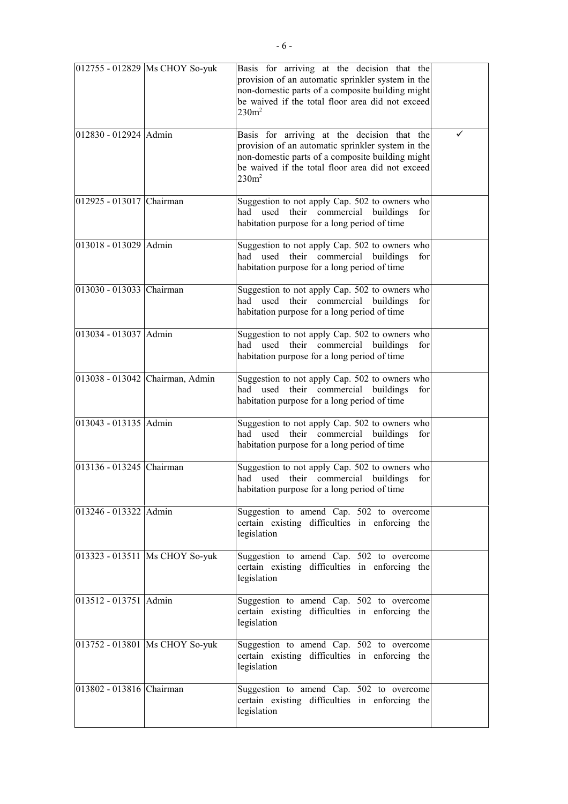|                          | 012755 - 012829 Ms CHOY So-yuk   | Basis for arriving at the decision that the<br>provision of an automatic sprinkler system in the<br>non-domestic parts of a composite building might<br>be waived if the total floor area did not exceed<br>$230m^2$ |   |
|--------------------------|----------------------------------|----------------------------------------------------------------------------------------------------------------------------------------------------------------------------------------------------------------------|---|
| 012830 - 012924 Admin    |                                  | Basis for arriving at the decision that the<br>provision of an automatic sprinkler system in the<br>non-domestic parts of a composite building might<br>be waived if the total floor area did not exceed<br>$230m^2$ | ✓ |
| 012925 - 013017 Chairman |                                  | Suggestion to not apply Cap. 502 to owners who<br>their commercial buildings<br>used<br>had<br>for<br>habitation purpose for a long period of time                                                                   |   |
| 013018 - 013029 Admin    |                                  | Suggestion to not apply Cap. 502 to owners who<br>used their commercial buildings<br>for<br>had<br>habitation purpose for a long period of time                                                                      |   |
| 013030 - 013033 Chairman |                                  | Suggestion to not apply Cap. 502 to owners who<br>had used their commercial buildings<br>for<br>habitation purpose for a long period of time                                                                         |   |
| 013034 - 013037 Admin    |                                  | Suggestion to not apply Cap. 502 to owners who<br>had used their commercial buildings<br>for<br>habitation purpose for a long period of time                                                                         |   |
|                          | 013038 - 013042 Chairman, Admin  | Suggestion to not apply Cap. 502 to owners who<br>had used their commercial buildings<br>for<br>habitation purpose for a long period of time                                                                         |   |
| 013043 - 013135 Admin    |                                  | Suggestion to not apply Cap. 502 to owners who<br>had used their commercial buildings<br>for<br>habitation purpose for a long period of time                                                                         |   |
| 013136 - 013245 Chairman |                                  | Suggestion to not apply Cap. 502 to owners who<br>had used their commercial buildings<br>for<br>habitation purpose for a long period of time                                                                         |   |
| 013246 - 013322 Admin    |                                  | Suggestion to amend Cap. 502 to overcome<br>certain existing difficulties in enforcing the<br>legislation                                                                                                            |   |
|                          | 013323 - 013511   Ms CHOY So-yuk | Suggestion to amend Cap. 502 to overcome<br>certain existing difficulties in enforcing the<br>legislation                                                                                                            |   |
| 013512 - 013751 Admin    |                                  | Suggestion to amend Cap. 502 to overcome<br>certain existing difficulties in enforcing the<br>legislation                                                                                                            |   |
|                          | 013752 - 013801 Ms CHOY So-yuk   | Suggestion to amend Cap. 502 to overcome<br>certain existing difficulties in enforcing the<br>legislation                                                                                                            |   |
| 013802 - 013816 Chairman |                                  | Suggestion to amend Cap. 502 to overcome<br>certain existing difficulties in enforcing the<br>legislation                                                                                                            |   |